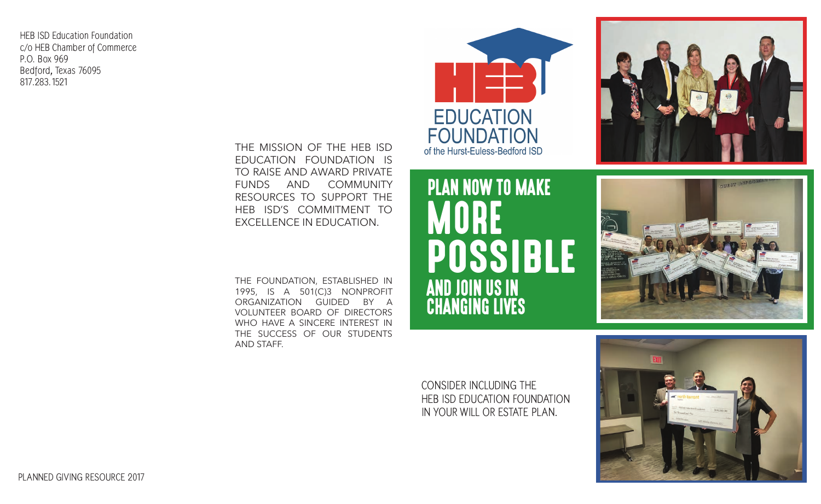HEB ISD Education Foundation c/o HEB Chamber of Commerce P.O. Box 969 Bedford, Texas 76095 817.283.1521

> THE MISSION OF THE HEB ISD EDUCATION FOUNDATION IS TO RAISE AND AWARD PRIVATE FUNDS AND COMMUNITY RESOURCES TO SUPPORT THE HEB ISD'S COMMITMENT TO EXCELLENCE IN EDUCATION.

THE FOUNDATION, ESTABLISHED IN 1995, IS A 501(C)3 NONPROFIT ORGANIZATION GUIDED BY A VOLUNTEER BOARD OF DIRECTORS WHO HAVE A SINCERE INTEREST IN THE SUCCESS OF OUR STUDENTS AND STAFF.

# **EDUCATION FOUNDATION** of the Hurst-Euless-Bedford ISD

PLAN NOW TO MAKE

POSSIBLE

**MORE** 

ANU JUIN US IN<br>Allanging Live

<mark>Changing Lives</mark>





CONSIDER INCLUDING THE HEB ISD EDUCATION FOUNDATION IN YOUR WILL OR ESTATE PLAN.